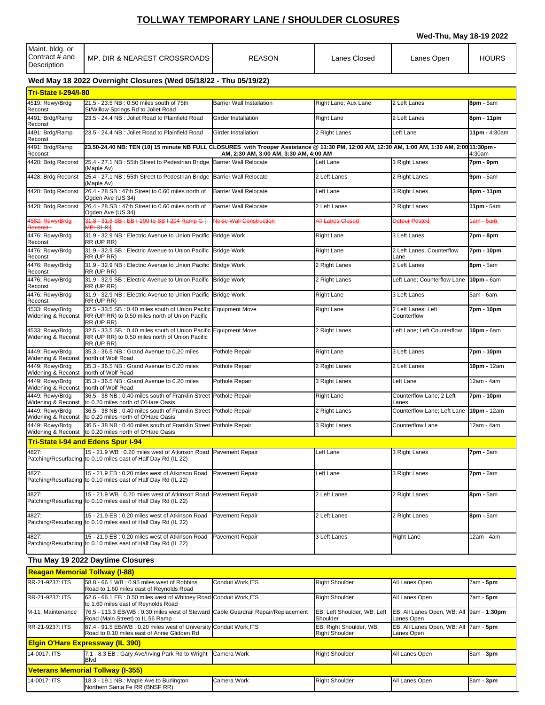## **TOLLWAY TEMPORARY LANE / SHOULDER CLOSURES**

**Wed-Thu, May 18-19 2022**

|                                                  |                                                                                                                                                      |                                        |                      | Wed-Thu, May To-19 ZUZZ           |                 |
|--------------------------------------------------|------------------------------------------------------------------------------------------------------------------------------------------------------|----------------------------------------|----------------------|-----------------------------------|-----------------|
| Maint. bldg. or<br>Contract # and<br>Description | MP. DIR & NEAREST CROSSROADS                                                                                                                         | <b>REASON</b>                          | Lanes Closed         | Lanes Open                        | <b>HOURS</b>    |
|                                                  | Wed May 18 2022 Overnight Closures (Wed 05/18/22 - Thu 05/19/22)                                                                                     |                                        |                      |                                   |                 |
| <b>Tri-State I-294/I-80</b>                      |                                                                                                                                                      |                                        |                      |                                   |                 |
| 4519: Rdwy/Brdg<br>Reconst                       | 21.5 - 23.5 NB: 0.50 miles south of 75th<br>St/Willow Springs Rd to Joliet Road                                                                      | <b>Barrier Wall Installation</b>       | Right Lane; Aux Lane | 2 Left Lanes                      | 8pm - 5am       |
| 4491: Brdg/Ramp<br>Reconst                       | 23.5 - 24.4 NB : Joliet Road to Plainfield Road                                                                                                      | Girder Installation                    | <b>Right Lane</b>    | 2 Left Lanes                      | 8pm - 11pm      |
| 4491: Brdg/Ramp<br>Reconst                       | 23.5 - 24.4 NB : Joliet Road to Plainfield Road                                                                                                      | Girder Installation                    | 2 Right Lanes        | Left Lane                         | 11pm - 4:30am   |
| 4491: Brdg/Ramp<br>Reconst                       | 23.50-24.40 NB: TEN (10) 15 minute NB FULL CLOSURES with Trooper Assistance @ 11:30 PM, 12:00 AM, 12:30 AM, 1:00 AM, 1:30 AM, 2:00 AM, 2:0011:30pm - | AM, 2:30 AM, 3:00 AM, 3:30 AM, 4:00 AM |                      |                                   | 4:30am          |
| 4428: Brdg Reconst                               | 25.4 - 27.1 NB : 55th Street to Pedestrian Bridge Barrier Wall Relocate<br>(Maple Av)                                                                |                                        | Left Lane            | 3 Right Lanes                     | 7pm - 9pm       |
| 4428: Brdg Reconst                               | 25.4 - 27.1 NB: 55th Street to Pedestrian Bridge<br>(Maple Av)                                                                                       | <b>Barrier Wall Relocate</b>           | 2 Left Lanes         | 2 Right Lanes                     | 9pm - 5am       |
| 4428: Brdg Reconst                               | 26.4 - 28 SB: 47th Street to 0.60 miles north of<br>Ogden Ave (US 34)                                                                                | <b>Barrier Wall Relocate</b>           | Left Lane            | 3 Right Lanes                     | 8pm - 11pm      |
| 4428: Brdg Reconst                               | 26.4 - 28 SB: 47th Street to 0.60 miles north of<br>Ogden Ave (US 34)                                                                                | <b>Barrier Wall Relocate</b>           | 2 Left Lanes         | 2 Right Lanes                     | $11pm - 5am$    |
| 4582: Rdwy/Brdg-<br>Reconst-                     | 31.8 - 31.8 SB : EB I-290 to SB I-294 Ramp G [-<br>MP: 31.81                                                                                         | Noise Wall Construction                | All Lanes Closed     | <b>Detour Posted</b>              | 1am - 5am       |
| 4476: Rdwy/Brdg<br>Reconst                       | 31.9 - 32.9 NB : Electric Avenue to Union Pacific Bridge Work<br>RR (UP RR)                                                                          |                                        | <b>Right Lane</b>    | 3 Left Lanes                      | 7pm - 8pm       |
| 4476: Rdwy/Brdg<br>Reconst                       | 31.9 - 32.9 SB : Electric Avenue to Union Pacific Bridge Work<br>RR (UP RR)                                                                          |                                        | <b>Right Lane</b>    | 2 Left Lanes: Counterflow<br>Lane | 7pm - 10pm      |
| 4476: Rdwy/Brdg<br>Reconst                       | 31.9 - 32.9 NB : Electric Avenue to Union Pacific Bridge Work<br>RR (UP RR)                                                                          |                                        | 2 Right Lanes        | 2 Left Lanes                      | $8$ pm - $5$ am |
| 4476: Rdwy/Brdg<br>Reconst                       | 31.9 - 32.9 SB : Electric Avenue to Union Pacific<br>RR (UP RR)                                                                                      | <b>Bridge Work</b>                     | 2 Right Lanes        | Left Lane; Counterflow Lane       | 10pm - 6am      |
| 4476: Rdwy/Brdg<br>Reconst                       | 31.9 - 32.9 NB : Electric Avenue to Union Pacific<br>RR (UP RR)                                                                                      | <b>Bridge Work</b>                     | <b>Right Lane</b>    | 3 Left Lanes                      | 5am - 6am       |
| 4533: Rdwy/Brdg<br>Widening & Reconst            | 32.5 - 33.5 SB: 0.40 miles south of Union Pacific<br>RR (UP RR) to 0.50 miles north of Union Pacific<br>RR (UP RR)                                   | <b>Equipment Move</b>                  | <b>Right Lane</b>    | 2 Left Lanes: Left<br>Counterflow | 7pm - 10pm      |
| 4533: Rdwy/Brdg<br>Widening & Reconst            | 32.5 - 33.5 SB : 0.40 miles south of Union Pacific<br>RR (UP RR) to 0.50 miles north of Union Pacific<br>RR (UP RR)                                  | <b>Equipment Move</b>                  | 2 Right Lanes        | Left Lane; Left Counterflow       | 10pm - 6am      |
| 4449: Rdwy/Brdg<br>Widening & Reconst            | 35.3 - 36.5 NB : Grand Avenue to 0.20 miles<br>north of Wolf Road                                                                                    | Pothole Repair                         | <b>Right Lane</b>    | 3 Left Lanes                      | 7pm - 10pm      |
| 4449: Rdwy/Brdg<br>Widening & Reconst            | 35.3 - 36.5 NB: Grand Avenue to 0.20 miles<br>north of Wolf Road                                                                                     | Pothole Repair                         | 2 Right Lanes        | 2 Left Lanes                      | 10pm - 12am     |
| 4449: Rdwy/Brdg<br>Widening & Reconst            | 35.3 - 36.5 NB : Grand Avenue to 0.20 miles<br>north of Wolf Road                                                                                    | Pothole Repair                         | 3 Right Lanes        | Left Lane                         | 12am - 4am      |
| 4449: Rdwy/Brdg<br>Widening & Reconst            | 36.5 - 38 NB : 0.40 miles south of Franklin Street Pothole Repair<br>to 0.20 miles north of O'Hare Oasis                                             |                                        | <b>Right Lane</b>    | Counterflow Lane; 2 Left<br>Lanes | 7pm - 10pm      |
| 4449: Rdwv/Brda<br>Widening & Reconst            | 36.5 - 38 NB : 0.40 miles south of Franklin Street Pothole Repair<br>to 0.20 miles north of O'Hare Oasis                                             |                                        | 2 Right Lanes        | Counterflow Lane: Left Lane       | 10pm - 12am     |
| 4449: Rdwy/Brdg<br>Widening & Reconst            | 36.5 - 38 NB : 0.40 miles south of Franklin Street Pothole Repair<br>to 0.20 miles north of O'Hare Oasis                                             |                                        | 3 Right Lanes        | <b>Counterflow Lane</b>           | 12am - 4am      |
|                                                  | <b>Tri-State I-94 and Edens Spur I-94</b>                                                                                                            |                                        |                      |                                   |                 |
| 4827:                                            | 15 - 21.9 WB: 0.20 miles west of Atkinson Road<br>Patching/Resurfacing to 0.10 miles east of Half Day Rd (IL 22)                                     | Pavement Repair                        | Left Lane            | 3 Right Lanes                     | 7pm - 6am       |
| 4827:                                            | 15 - 21.9 EB: 0.20 miles west of Atkinson Road<br>Patching/Resurfacing to 0.10 miles east of Half Day Rd (IL 22)                                     | <b>Pavement Repair</b>                 | Left Lane            | 3 Right Lanes                     | 7pm - 6am       |
| 4827:                                            | 15 - 21.9 WB: 0.20 miles west of Atkinson Road<br>Patching/Resurfacing to 0.10 miles east of Half Day Rd (IL 22)                                     | Pavement Repair                        | 2 Left Lanes         | 2 Right Lanes                     | 8pm - 5am       |
| 4827:                                            | 15 - 21.9 EB: 0.20 miles west of Atkinson Road<br>Patching/Resurfacing to 0.10 miles east of Half Day Rd (IL 22)                                     | Pavement Repair                        | 2 Left Lanes         | 2 Right Lanes                     | 8pm - 5am       |
| 4827:                                            | 15 - 21.9 EB: 0.20 miles west of Atkinson Road<br>Patching/Resurfacing to 0.10 miles east of Half Day Rd (IL 22)                                     | Pavement Repair                        | 3 Left Lanes         | <b>Right Lane</b>                 | 12am - 4am      |

## **Thu May 19 2022 Daytime Closures**

| <b>Reagan Memorial Tollway (I-88)</b> |                                                                                                                       |                  |                                                  |                                                        |           |
|---------------------------------------|-----------------------------------------------------------------------------------------------------------------------|------------------|--------------------------------------------------|--------------------------------------------------------|-----------|
| RR-21-9237: ITS                       | 58.8 - 66.1 WB: 0.95 miles west of Robbins<br>Road to 1.60 miles east of Reynolds Road                                | Conduit Work.ITS | Right Shoulder                                   | All Lanes Open                                         | 7am - 5pm |
| <b>RR-21-9237: ITS</b>                | 62.6 - 66.1 EB: 0.50 miles west of Whitney Road Conduit Work, ITS<br>to 1.60 miles east of Revnolds Road              |                  | <b>Right Shoulder</b>                            | All Lanes Open                                         | 7am - 5pm |
| M-11: Maintenance                     | 76.5 - 113.3 EB/WB: 0.30 miles west of Steward Cable Guardrail Repair/Replacement<br>Road (Main Street) to IL 56 Ramp |                  | EB: Left Shoulder, WB: Left<br>Shoulder          | EB: All Lanes Open, WB: All 9am - 1:30pm<br>Lanes Open |           |
| <b>RR-21-9237: ITS</b>                | 87.4 - 91.5 EB/WB: 0.20 miles west of University Conduit Work, ITS<br>Road to 0.10 miles east of Annie Glidden Rd     |                  | EB: Right Shoulder, WB:<br><b>Right Shoulder</b> | EB: All Lanes Open, WB: All 7am - 5pm<br>Lanes Open    |           |
|                                       | <b>Elgin O'Hare Expressway (IL 390)</b>                                                                               |                  |                                                  |                                                        |           |
| 14-0017: ITS                          | 7.1 - 8.3 EB: Gary Ave/Irving Park Rd to Wright Camera Work<br><b>Blvd</b>                                            |                  | Right Shoulder                                   | All Lanes Open                                         | 8am - 3pm |
|                                       | <b>Veterans Memorial Tollway (I-355)</b>                                                                              |                  |                                                  |                                                        |           |
| 14-0017: ITS                          | 18.3 - 19.1 NB : Maple Ave to Burlington<br>Northern Santa Fe RR (BNSF RR)                                            | Camera Work      | Right Shoulder                                   | All Lanes Open                                         | 8am - 3pm |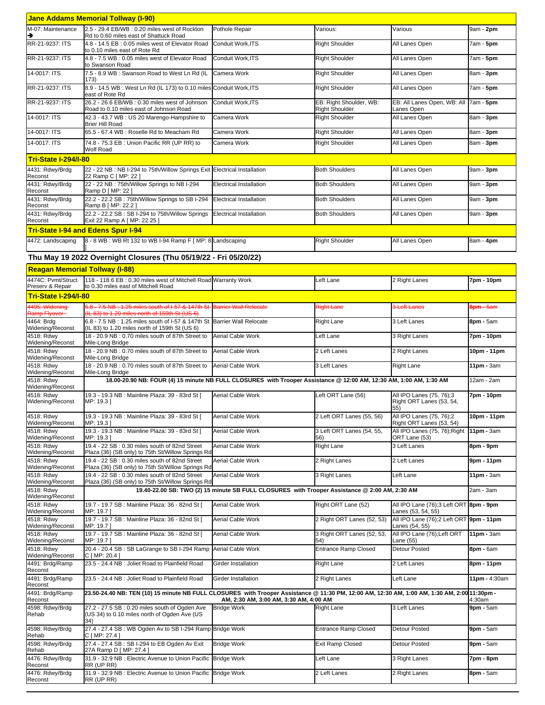|                                        | <b>Jane Addams Memorial Tollway (I-90)</b>                                                                                                                                             |                                                                                               |                                                  |                                                              |                     |  |  |
|----------------------------------------|----------------------------------------------------------------------------------------------------------------------------------------------------------------------------------------|-----------------------------------------------------------------------------------------------|--------------------------------------------------|--------------------------------------------------------------|---------------------|--|--|
| M-07: Maintenance<br>→                 | 2.5 - 29.4 EB/WB : 0.20 miles west of Rockton<br>Rd to 0.60 miles east of Shattuck Road                                                                                                | Pothole Repair                                                                                | Various:                                         | Various                                                      | 9am - 2pm           |  |  |
| RR-21-9237: ITS                        | 4.8 - 14.5 EB: 0.05 miles west of Elevator Road<br>to 0.10 miles east of Rote Rd                                                                                                       | Conduit Work.ITS                                                                              | <b>Right Shoulder</b>                            | All Lanes Open                                               | 7am - <b>5pm</b>    |  |  |
| RR-21-9237: ITS                        | 4.8 - 7.5 WB: 0.05 miles west of Elevator Road<br>to Swanson Road                                                                                                                      | Conduit Work, ITS                                                                             | <b>Right Shoulder</b>                            | All Lanes Open                                               | 7am - 5pm           |  |  |
| 14-0017: ITS                           | 7.5 - 8.9 WB: Swanson Road to West Ln Rd (IL<br>173)                                                                                                                                   | Camera Work                                                                                   | <b>Right Shoulder</b>                            | All Lanes Open                                               | 8am - 3pm           |  |  |
| RR-21-9237: ITS                        | 8.9 - 14.5 WB : West Ln Rd (IL 173) to 0.10 miles Conduit Work, ITS<br>east of Rote Rd                                                                                                 |                                                                                               | <b>Right Shoulder</b>                            | All Lanes Open                                               | 7am - 5pm           |  |  |
| RR-21-9237: ITS                        | 26.2 - 26.6 EB/WB: 0.30 miles west of Johnson<br>Road to 0.10 miles east of Johnson Road                                                                                               | Conduit Work, ITS                                                                             | EB: Right Shoulder, WB:<br><b>Right Shoulder</b> | EB: All Lanes Open, WB: All<br>Lanes Open                    | 7am - 5pm           |  |  |
| 14-0017: ITS                           | 42.3 - 43.7 WB: US 20 Marengo-Hampshire to<br><b>Brier Hill Road</b>                                                                                                                   | Camera Work                                                                                   | <b>Right Shoulder</b>                            | All Lanes Open                                               | 8am - 3pm           |  |  |
| 14-0017: ITS                           | 65.5 - 67.4 WB : Roselle Rd to Meacham Rd                                                                                                                                              | Camera Work                                                                                   | <b>Right Shoulder</b>                            | All Lanes Open                                               | 8am - 3pm           |  |  |
| 14-0017: ITS                           | 74.8 - 75.3 EB: Union Pacific RR (UP RR) to<br><b>Wolf Road</b>                                                                                                                        | Camera Work                                                                                   | <b>Right Shoulder</b>                            | All Lanes Open                                               | 8am - <b>3pm</b>    |  |  |
| <b>Tri-State I-294/I-80</b>            |                                                                                                                                                                                        |                                                                                               |                                                  |                                                              |                     |  |  |
| 4431: Rdwy/Brdg<br>Reconst             | 22 - 22 NB : NB I-294 to 75th/Willow Springs Exit Electrical Installation<br>22 Ramp C [ MP: 22 ]                                                                                      |                                                                                               | <b>Both Shoulders</b>                            | All Lanes Open                                               | 9am - 3pm           |  |  |
| 4431: Rdwy/Brdg<br>Reconst             | 22 - 22 NB: 75th/Willow Springs to NB I-294<br>Ramp D [ MP: 22 ]                                                                                                                       | <b>Electrical Installation</b>                                                                | <b>Both Shoulders</b>                            | All Lanes Open                                               | 9am - 3pm           |  |  |
| 4431: Rdwy/Brdg<br>Reconst             | 22.2 - 22.2 SB: 75th/Willow Springs to SB I-294<br>Ramp B [ MP: 22.2 ]                                                                                                                 | Electrical Installation                                                                       | <b>Both Shoulders</b>                            | All Lanes Open                                               | 9am - <b>3pm</b>    |  |  |
| 4431: Rdwy/Brdg<br>Reconst             | 22.2 - 22.2 SB: SB I-294 to 75th/Willow Springs<br>Exit 22 Ramp A [ MP: 22.25 ]                                                                                                        | <b>Electrical Installation</b>                                                                | <b>Both Shoulders</b>                            | All Lanes Open                                               | 9am - 3pm           |  |  |
|                                        | <b>Tri-State I-94 and Edens Spur I-94</b>                                                                                                                                              |                                                                                               |                                                  |                                                              |                     |  |  |
| 4472: Landscaping                      | 8 - 8 WB: WB Rt 132 to WB I-94 Ramp F [ MP: 8 Landscaping                                                                                                                              |                                                                                               | <b>Right Shoulder</b>                            | All Lanes Open                                               | 8am - 4pm           |  |  |
|                                        | Thu May 19 2022 Overnight Closures (Thu 05/19/22 - Fri 05/20/22)                                                                                                                       |                                                                                               |                                                  |                                                              |                     |  |  |
| <b>Reagan Memorial Tollway (I-88)</b>  |                                                                                                                                                                                        |                                                                                               |                                                  |                                                              |                     |  |  |
| 4474C: Pvmt/Struct<br>Preserv & Repair | 118 - 118.6 EB : 0.30 miles west of Mitchell Road Warranty Work<br>to 0.30 miles east of Mitchell Road                                                                                 |                                                                                               | Left Lane                                        | 2 Right Lanes                                                | 7pm - 10pm          |  |  |
| <b>Tri-State I-294/I-80</b>            |                                                                                                                                                                                        |                                                                                               |                                                  |                                                              |                     |  |  |
| 4495: Widening<br>Ramp Flyover         | 6.8 - 7.5 NB : 1.25 miles south of I-57 & 147th St<br>(IL 83) to 1.20 miles north of 159th St (US 6)                                                                                   | Barrier Wall Relocate                                                                         | Right Lane                                       | 3 Left Lanes                                                 | <b>3pm - 5am</b>    |  |  |
| 4464: Brdg<br>Widening/Reconst         | 6.8 - 7.5 NB : 1.25 miles south of I-57 & 147th St Barrier Wall Relocate<br>(IL 83) to 1.20 miles north of 159th St (US 6)                                                             |                                                                                               | Right Lane                                       | 3 Left Lanes                                                 | 8pm - 5am           |  |  |
| 4518: Rdwy<br>Widening/Reconst         | 18 - 20.9 NB: 0.70 miles south of 87th Street to<br>Mile-Long Bridge                                                                                                                   | <b>Aerial Cable Work</b>                                                                      | Left Lane                                        | 3 Right Lanes                                                | 7pm - 10pm          |  |  |
| 4518: Rdwy<br>Widening/Reconst         | 18 - 20.9 NB: 0.70 miles south of 87th Street to<br>Mile-Long Bridge                                                                                                                   | Aerial Cable Work                                                                             | 2 Left Lanes                                     | 2 Right Lanes                                                | 0pm - 11pm          |  |  |
| 4518: Rdwy<br>Widening/Reconst         | 18 - 20.9 NB: 0.70 miles south of 87th Street to<br>Mile-Long Bridge                                                                                                                   | Aerial Cable Work                                                                             | 3 Left Lanes                                     | <b>Right Lane</b>                                            | 11pm - 3am          |  |  |
| 4518: Rdwy<br>Widening/Reconst         | 18.00-20.90 NB: FOUR (4) 15 minute NB FULL CLOSURES with Trooper Assistance @ 12:00 AM, 12:30 AM, 1:00 AM, 1:30 AM                                                                     |                                                                                               |                                                  |                                                              | 12am - 2am          |  |  |
| 4518: Rdwy<br>Widening/Reconst         | 19.3 - 19.3 NB : Mainline Plaza: 39 - 83rd St [<br>MP: 19.3 ]                                                                                                                          | Aerial Cable Work                                                                             | Left ORT Lane (56)                               | All IPO Lanes (75, 76);3<br>Right ORT Lanes (53, 54,<br>55)  | 7pm - 10pm          |  |  |
| 4518: Rdwy<br>Widening/Reconst         | 19.3 - 19.3 NB : Mainline Plaza: 39 - 83rd St [<br>MP: 19.3 ]                                                                                                                          | Aerial Cable Work                                                                             | 2 Left ORT Lanes (55, 56)                        | All IPO Lanes (75, 76);2<br>Right ORT Lanes (53, 54)         | 10pm - 11pm         |  |  |
| 4518: Rdwy<br>Widening/Reconst         | 19.3 - 19.3 NB : Mainline Plaza: 39 - 83rd St [<br>MP: 19.3 ]                                                                                                                          | Aerial Cable Work                                                                             | 3 Left ORT Lanes (54, 55,<br>56)                 | All IPO Lanes (75, 76); Right<br>ORT Lane (53)               | $11pm - 3am$        |  |  |
| 4518: Rdwy<br>Widening/Reconst         | 19.4 - 22 SB: 0.30 miles south of 82nd Street<br>Plaza {36} (SB only) to 75th St/Willow Springs Rd                                                                                     | Aerial Cable Work                                                                             | <b>Right Lane</b>                                | 3 Left Lanes                                                 | 8pm - 9pm           |  |  |
| 4518: Rdwy<br>Widening/Reconst         | 19.4 - 22 SB: 0.30 miles south of 82nd Street<br>Plaza {36} (SB only) to 75th St/Willow Springs Rd                                                                                     | Aerial Cable Work                                                                             | 2 Right Lanes                                    | 2 Left Lanes                                                 | 9pm - 11pm          |  |  |
| 4518: Rdwy<br>Widening/Reconst         | 19.4 - 22 SB: 0.30 miles south of 82nd Street<br>Plaza {36} (SB only) to 75th St/Willow Springs Rd                                                                                     | Aerial Cable Work                                                                             | 3 Right Lanes                                    | Left Lane                                                    | 11pm - 3am          |  |  |
| 4518: Rdwy<br>Widening/Reconst         |                                                                                                                                                                                        | 19.40-22.00 SB: TWO (2) 15 minute SB FULL CLOSURES with Trooper Assistance @ 2:00 AM, 2:30 AM |                                                  |                                                              | 2am - 3am           |  |  |
| 4518: Rdwy<br>Widening/Reconst         | 19.7 - 19.7 SB : Mainline Plaza: 36 - 82nd St [<br>MP: 19.7 ]                                                                                                                          | Aerial Cable Work                                                                             | Right ORT Lane (52)                              | All IPO Lane (76);3 Left ORT 8pm - 9pm<br>Lanes (53, 54, 55) |                     |  |  |
| 4518: Rdwy<br>Widening/Reconst         | 19.7 - 19.7 SB : Mainline Plaza: 36 - 82nd St [<br>MP: 19.7                                                                                                                            | Aerial Cable Work                                                                             | 2 Right ORT Lanes (52, 53)                       | All IPO Lane (76);2 Left ORT 9pm - 11pm<br>Lanes (54, 55)    |                     |  |  |
| 4518: Rdwy<br>Widening/Reconst         | 19.7 - 19.7 SB : Mainline Plaza: 36 - 82nd St [<br>MP: 19.7                                                                                                                            | Aerial Cable Work                                                                             | 3 Right ORT Lanes (52, 53,<br>54)                | All IPO Lane (76);Left ORT<br>Lane (55)                      | $11pm - 3am$        |  |  |
| 4518: Rdwy<br>Widening/Reconst         | 20.4 - 20.4 SB: SB LaGrange to SB I-294 Ramp<br>C [ MP: 20.4 ]                                                                                                                         | Aerial Cable Work                                                                             | <b>Entrance Ramp Closed</b>                      | Detour Posted                                                | 8pm - 6am           |  |  |
| 4491: Brdg/Ramp<br>Reconst             | 23.5 - 24.4 NB : Joliet Road to Plainfield Road                                                                                                                                        | Girder Installation                                                                           | <b>Right Lane</b>                                | 2 Left Lanes                                                 | 8pm - 11pm          |  |  |
| 4491: Brdg/Ramp<br>Reconst             | 23.5 - 24.4 NB : Joliet Road to Plainfield Road                                                                                                                                        | Girder Installation                                                                           | 2 Right Lanes                                    | Left Lane                                                    | 11pm - 4:30am       |  |  |
| 4491: Brdg/Ramp<br>Reconst             | 23.50-24.40 NB: TEN (10) 15 minute NB FULL CLOSURES with Trooper Assistance @ 11:30 PM, 12:00 AM, 12:30 AM, 1:00 AM, 1:30 AM, 2:00 41:30pm -<br>AM, 2:30 AM, 3:00 AM, 3:30 AM, 4:00 AM |                                                                                               |                                                  |                                                              |                     |  |  |
| 4598: Rdwy/Brdg<br>Rehab               | 27.2 - 27.5 SB: 0.20 miles south of Ogden Ave<br>(US 34) to 0.10 miles north of Ogden Ave (US<br>(34)                                                                                  | <b>Bridge Work</b>                                                                            | Right Lane                                       | 3 Left Lanes                                                 | 4:30am<br>9pm - 5am |  |  |
| 4598: Rdwy/Brdg<br>Rehab               | 27.4 - 27.4 SB: WB Ogden Av to SB I-294 Ramp Bridge Work<br>C [ MP: 27.4 ]                                                                                                             |                                                                                               | <b>Entrance Ramp Closed</b>                      | Detour Posted                                                | $9$ pm - $5$ am     |  |  |
| 4598: Rdwy/Brdg<br>Rehab               | 27.4 - 27.4 SB : SB I-294 to EB Ogden Av Exit<br>27A Ramp D [ MP: 27.4 ]                                                                                                               | <b>Bridge Work</b>                                                                            | Exit Ramp Closed                                 | Detour Posted                                                | 9pm - 5am           |  |  |
| 4476: Rdwy/Brdg<br>Reconst             | 31.9 - 32.9 NB : Electric Avenue to Union Pacific<br>RR (UP RR)                                                                                                                        | <b>Bridge Work</b>                                                                            | Left Lane                                        | 3 Right Lanes                                                | 7pm - 8pm           |  |  |
| 4476: Rdwy/Brdg<br>Reconst             | 31.9 - 32.9 NB : Electric Avenue to Union Pacific<br>RR (UP RR)                                                                                                                        | <b>Bridge Work</b>                                                                            | 2 Left Lanes                                     | 2 Right Lanes                                                | 8pm - 5am           |  |  |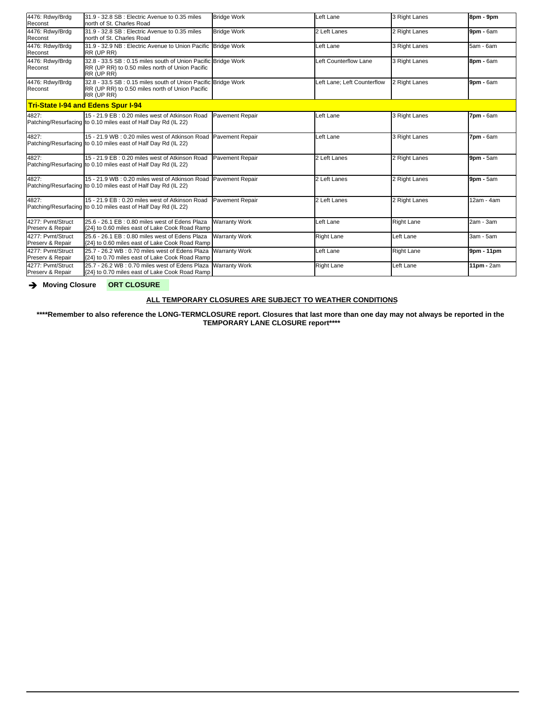| 4476: Rdwy/Brdg<br>Reconst            | 31.9 - 32.8 SB : Electric Avenue to 0.35 miles<br>Inorth of St. Charles Road                                                     | <b>Bridge Work</b>     | Left Lane                   | 3 Right Lanes     | 8pm - 9pm       |
|---------------------------------------|----------------------------------------------------------------------------------------------------------------------------------|------------------------|-----------------------------|-------------------|-----------------|
| 4476: Rdwy/Brdg<br>Reconst            | 31.9 - 32.8 SB : Electric Avenue to 0.35 miles<br>north of St. Charles Road                                                      | <b>Bridge Work</b>     | 2 Left Lanes                | 2 Right Lanes     | 9pm - 6am       |
| 4476: Rdwy/Brdg<br>Reconst            | 31.9 - 32.9 NB : Electric Avenue to Union Pacific Bridge Work<br>RR (UP RR)                                                      |                        | Left Lane                   | 3 Right Lanes     | 5am - 6am       |
| 4476: Rdwy/Brdg<br>Reconst            | 32.8 - 33.5 SB : 0.15 miles south of Union Pacific Bridge Work<br>RR (UP RR) to 0.50 miles north of Union Pacific<br>RR (UP RR)  |                        | Left Counterflow Lane       | 3 Right Lanes     | 8pm - 6am       |
| 4476: Rdwy/Brdg<br>Reconst            | 32.8 - 33.5 SB : 0.15 miles south of Union Pacific Bridge Work<br>RR (UP RR) to 0.50 miles north of Union Pacific<br>RR (UP RR)  |                        | Left Lane: Left Counterflow | 2 Right Lanes     | 9pm - 6am       |
|                                       | <b>Tri-State I-94 and Edens Spur I-94</b>                                                                                        |                        |                             |                   |                 |
| 4827:                                 | 15 - 21.9 EB: 0.20 miles west of Atkinson Road<br>Patching/Resurfacing to 0.10 miles east of Half Day Rd (IL 22)                 | Pavement Repair        | Left Lane                   | 3 Right Lanes     | 7pm - 6am       |
| 4827:                                 | 15 - 21.9 WB: 0.20 miles west of Atkinson Road<br>Patching/Resurfacing to 0.10 miles east of Half Day Rd (IL 22)                 | Pavement Repair        | Left Lane                   | 3 Right Lanes     | 7pm - 6am       |
| 4827:                                 | 15 - 21.9 EB: 0.20 miles west of Atkinson Road<br>Patching/Resurfacing to 0.10 miles east of Half Day Rd (IL 22)                 | Pavement Repair        | 2 Left Lanes                | 2 Right Lanes     | $9$ pm - $5$ am |
| 4827:                                 | 15 - 21.9 WB: 0.20 miles west of Atkinson Road Pavement Repair<br>Patching/Resurfacing to 0.10 miles east of Half Day Rd (IL 22) |                        | 2 Left Lanes                | 2 Right Lanes     | $9$ pm - $5$ am |
| 4827:                                 | 15 - 21.9 EB : 0.20 miles west of Atkinson Road<br>Patching/Resurfacing to 0.10 miles east of Half Day Rd (IL 22)                | <b>Pavement Repair</b> | 2 Left Lanes                | 2 Right Lanes     | 12am - 4am      |
| 4277: Pvmt/Struct<br>Preserv & Repair | 25.6 - 26.1 EB: 0.80 miles west of Edens Plaza<br>{24} to 0.60 miles east of Lake Cook Road Ramp                                 | <b>Warranty Work</b>   | Left Lane                   | <b>Right Lane</b> | 2am - 3am       |
| 4277: Pymt/Struct<br>Preserv & Repair | 25.6 - 26.1 EB : 0.80 miles west of Edens Plaza<br>{24} to 0.60 miles east of Lake Cook Road Ramp                                | <b>Warranty Work</b>   | <b>Right Lane</b>           | Left Lane         | 3am - 5am       |
| 4277: Pvmt/Struct<br>Preserv & Repair | 25.7 - 26.2 WB: 0.70 miles west of Edens Plaza<br>{24} to 0.70 miles east of Lake Cook Road Ramp                                 | <b>Warranty Work</b>   | Left Lane                   | <b>Right Lane</b> | 9pm - 11pm      |
| 4277: Pvmt/Struct<br>Preserv & Repair | 25.7 - 26.2 WB: 0.70 miles west of Edens Plaza<br>{24} to 0.70 miles east of Lake Cook Road Ramp                                 | <b>Warranty Work</b>   | <b>Right Lane</b>           | Left Lane         | 11pm - 2am      |

è **Moving Closure ORT CLOSURE**

## **ALL TEMPORARY CLOSURES ARE SUBJECT TO WEATHER CONDITIONS**

**\*\*\*\*Remember to also reference the LONG-TERMCLOSURE report. Closures that last more than one day may not always be reported in the TEMPORARY LANE CLOSURE report\*\*\*\***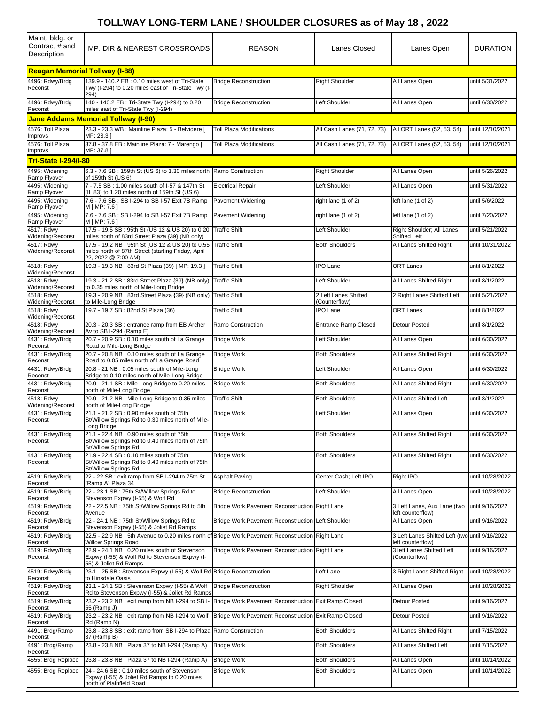## **TOLLWAY LONG-TERM LANE / SHOULDER CLOSURES as of May 18 , 2022**

| Maint. bldg. or<br>Contract # and<br>Description | MP. DIR & NEAREST CROSSROADS                                                                                                     | <b>REASON</b>                                         | Lanes Closed                          | Lanes Open                                                          | <b>DURATION</b>  |  |  |  |  |
|--------------------------------------------------|----------------------------------------------------------------------------------------------------------------------------------|-------------------------------------------------------|---------------------------------------|---------------------------------------------------------------------|------------------|--|--|--|--|
| <b>Reagan Memorial Tollway (I-88)</b>            |                                                                                                                                  |                                                       |                                       |                                                                     |                  |  |  |  |  |
| 4496: Rdwy/Brdg<br>Reconst                       | 139.9 - 140.2 EB: 0.10 miles west of Tri-State<br>Twy (I-294) to 0.20 miles east of Tri-State Twy (I-<br>294)                    | <b>Bridge Reconstruction</b>                          | <b>Right Shoulder</b>                 | All Lanes Open                                                      | until 5/31/2022  |  |  |  |  |
| 4496: Rdwy/Brdg<br>Reconst                       | 140 - 140.2 EB : Tri-State Twy (I-294) to 0.20<br>miles east of Tri-State Twy (I-294)                                            | <b>Bridge Reconstruction</b>                          | Left Shoulder                         | All Lanes Open                                                      | until 6/30/2022  |  |  |  |  |
|                                                  | Jane Addams Memorial Tollway (I-90)                                                                                              |                                                       |                                       |                                                                     |                  |  |  |  |  |
| 4576: Toll Plaza<br>Improvs                      | 23.3 - 23.3 WB : Mainline Plaza: 5 - Belvidere [<br>MP: 23.3 ]                                                                   | <b>Toll Plaza Modifications</b>                       | All Cash Lanes (71, 72, 73)           | All ORT Lanes (52, 53, 54)                                          | until 12/10/2021 |  |  |  |  |
| 4576: Toll Plaza                                 | 37.8 - 37.8 EB : Mainline Plaza: 7 - Marengo [                                                                                   | <b>Toll Plaza Modifications</b>                       | All Cash Lanes (71, 72, 73)           | All ORT Lanes (52, 53, 54)                                          | until 12/10/2021 |  |  |  |  |
| Improvs<br><b>Tri-State I-294/I-80</b>           | MP: 37.8                                                                                                                         |                                                       |                                       |                                                                     |                  |  |  |  |  |
| 4495: Widening                                   | 6.3 - 7.6 SB: 159th St (US 6) to 1.30 miles north Ramp Construction                                                              |                                                       | <b>Right Shoulder</b>                 | All Lanes Open                                                      | until 5/26/2022  |  |  |  |  |
| Ramp Flyover<br>4495: Widening                   | of 159th St (US 6)<br>7 - 7.5 SB: 1.00 miles south of I-57 & 147th St                                                            | <b>Electrical Repair</b>                              | Left Shoulder                         | All Lanes Open                                                      | until 5/31/2022  |  |  |  |  |
| Ramp Flyover<br>4495: Widening                   | (IL 83) to 1.20 miles north of 159th St (US 6)<br>7.6 - 7.6 SB: SB I-294 to SB I-57 Exit 7B Ramp                                 | Pavement Widening                                     | right lane (1 of 2)                   | left lane (1 of 2)                                                  | until 5/6/2022   |  |  |  |  |
| Ramp Flyover<br>4495: Widening                   | M [ MP: 7.6<br>7.6 - 7.6 SB : SB I-294 to SB I-57 Exit 7B Ramp                                                                   | Pavement Widening                                     | right lane (1 of 2)                   | left lane (1 of 2)                                                  | until 7/20/2022  |  |  |  |  |
| Ramp Flyover<br>4517: Rdwy                       | M [ MP: 7.6 ]<br>17.5 - 19.5 SB: 95th St (US 12 & US 20) to 0.20                                                                 | <b>Traffic Shift</b>                                  | Left Shoulder                         | Right Shoulder: All Lanes                                           | until 5/21/2022  |  |  |  |  |
| Widening/Reconst<br>4517: Rdwy                   | miles north of 83rd Street Plaza {39} (NB only)<br>17.5 - 19.2 NB: 95th St (US 12 & US 20) to 0.55                               | <b>Traffic Shift</b>                                  | <b>Both Shoulders</b>                 | Shifted Left<br>All Lanes Shifted Right                             | until 10/31/2022 |  |  |  |  |
| Widening/Reconst                                 | miles north of 87th Street (starting Friday, April<br>22, 2022 @ 7:00 AM)                                                        |                                                       |                                       |                                                                     |                  |  |  |  |  |
| 4518: Rdwy<br>Widening/Reconst                   | 19.3 - 19.3 NB: 83rd St Plaza (39) [ MP: 19.3 ]                                                                                  | <b>Traffic Shift</b>                                  | <b>IPO Lane</b>                       | <b>ORT Lanes</b>                                                    | until 8/1/2022   |  |  |  |  |
| 4518: Rdwy<br>Widening/Reconst                   | 19.3 - 21.2 SB: 83rd Street Plaza {39} (NB only)<br>to 0.35 miles north of Mile-Long Bridge                                      | <b>Traffic Shift</b>                                  | Left Shoulder                         | All Lanes Shifted Right                                             | until 8/1/2022   |  |  |  |  |
| 4518: Rdwy<br>Widening/Reconst                   | 19.3 - 20.9 NB: 83rd Street Plaza {39} (NB only) Traffic Shift<br>to Mile-Long Bridge                                            |                                                       | 2 Left Lanes Shifted<br>(Counterflow) | 2 Right Lanes Shifted Left                                          | until 5/21/2022  |  |  |  |  |
| 4518: Rdwy<br>Widening/Reconst                   | 19.7 - 19.7 SB: 82nd St Plaza (36)                                                                                               | <b>Traffic Shift</b>                                  | <b>IPO Lane</b>                       | <b>ORT Lanes</b>                                                    | until 8/1/2022   |  |  |  |  |
| 4518: Rdwy<br>Widening/Reconst                   | 20.3 - 20.3 SB : entrance ramp from EB Archer<br>Av to SB I-294 (Ramp E)                                                         | Ramp Construction                                     | <b>Entrance Ramp Closed</b>           | <b>Detour Posted</b>                                                | until 8/1/2022   |  |  |  |  |
| 4431: Rdwy/Brdg<br>Reconst                       | 20.7 - 20.9 SB: 0.10 miles south of La Grange<br>Road to Mile-Long Bridge                                                        | <b>Bridge Work</b>                                    | Left Shoulder                         | All Lanes Open                                                      | until 6/30/2022  |  |  |  |  |
| 4431: Rdwy/Brdg<br>Reconst                       | 20.7 - 20.8 NB: 0.10 miles south of La Grange<br>Road to 0.05 miles north of La Grange Road                                      | <b>Bridge Work</b>                                    | <b>Both Shoulders</b>                 | All Lanes Shifted Right                                             | until 6/30/2022  |  |  |  |  |
| 4431: Rdwy/Brdg<br>Reconst                       | 20.8 - 21 NB: 0.05 miles south of Mile-Long<br>Bridge to 0.10 miles north of Mile-Long Bridge                                    | <b>Bridge Work</b>                                    | Left Shoulder                         | All Lanes Open                                                      | until 6/30/2022  |  |  |  |  |
| 4431: Rdwy/Brdg<br>Reconst                       | 20.9 - 21.1 SB : Mile-Long Bridge to 0.20 miles<br>north of Mile-Long Bridge                                                     | <b>Bridge Work</b>                                    | <b>Both Shoulders</b>                 | All Lanes Shifted Right                                             | until 6/30/2022  |  |  |  |  |
| 4518: Rdwv<br>Widening/Reconst                   | 20.9 - 21.2 NB : Mile-Long Bridge to 0.35 miles<br>north of Mile-Long Bridge                                                     | <b>Traffic Shift</b>                                  | <b>Both Shoulders</b>                 | All Lanes Shifted Left                                              | until 8/1/2022   |  |  |  |  |
| 4431: Rdwy/Brdg<br>Reconst                       | 21.1 - 21.2 SB: 0.90 miles south of 75th<br>St/Willow Springs Rd to 0.30 miles north of Mile-                                    | <b>Bridge Work</b>                                    | Left Shoulder                         | All Lanes Open                                                      | until 6/30/2022  |  |  |  |  |
|                                                  | Long Bridge                                                                                                                      |                                                       |                                       |                                                                     |                  |  |  |  |  |
| 4431: Rdwy/Brdg<br>Reconst                       | 21.1 - 22.4 NB : 0.90 miles south of 75th<br>St/Willow Springs Rd to 0.40 miles north of 75th<br>St/Willow Springs Rd            | Bridge Work                                           | <b>Both Shoulders</b>                 | All Lanes Shifted Right                                             | until 6/30/2022  |  |  |  |  |
| 4431: Rdwy/Brdg<br>Reconst                       | 21.9 - 22.4 SB: 0.10 miles south of 75th<br>St/Willow Springs Rd to 0.40 miles north of 75th<br>St/Willow Springs Rd             | <b>Bridge Work</b>                                    | <b>Both Shoulders</b>                 | All Lanes Shifted Right                                             | until 6/30/2022  |  |  |  |  |
| 4519: Rdwy/Brdg<br>Reconst                       | 22 - 22 SB : exit ramp from SB I-294 to 75th St<br>(Ramp A) Plaza 34                                                             | <b>Asphalt Paving</b>                                 | Center Cash; Left IPO                 | Right IPO                                                           | until 10/28/2022 |  |  |  |  |
| 4519: Rdwy/Brdg<br>Reconst                       | 22 - 23.1 SB: 75th St/Willow Springs Rd to<br>Stevenson Expwy (I-55) & Wolf Rd                                                   | <b>Bridge Reconstruction</b>                          | Left Shoulder                         | All Lanes Open                                                      | until 10/28/2022 |  |  |  |  |
| 4519: Rdwy/Brdg<br>Reconst                       | 22 - 22.5 NB: 75th St/Willow Springs Rd to 5th<br>Avenue                                                                         | Bridge Work, Pavement Reconstruction Right Lane       |                                       | 3 Left Lanes, Aux Lane (two<br>left counterflow)                    | until 9/16/2022  |  |  |  |  |
| 4519: Rdwy/Brdg<br>Reconst                       | 22 - 24.1 NB: 75th St/Willow Springs Rd to<br>Stevenson Expwy (I-55) & Joliet Rd Ramps                                           | Bridge Work, Pavement Reconstruction Left Shoulder    |                                       | All Lanes Open                                                      | until 9/16/2022  |  |  |  |  |
| 4519: Rdwy/Brdg<br>Reconst                       | 22.5 - 22.9 NB : 5th Avenue to 0.20 miles north of Bridge Work, Pavement Reconstruction Right Lane<br><b>Willow Springs Road</b> |                                                       |                                       | 3 Left Lanes Shifted Left (two until 9/16/2022<br>left counterflow) |                  |  |  |  |  |
| 4519: Rdwy/Brdg<br>Reconst                       | 22.9 - 24.1 NB: 0.20 miles south of Stevenson<br>Expwy (I-55) & Wolf Rd to Stevenson Expwy (I-<br>55) & Joliet Rd Ramps          | Bridge Work, Pavement Reconstruction Right Lane       |                                       | 3 left Lanes Shifted Left<br>(Counterflow)                          | until 9/16/2022  |  |  |  |  |
| 4519: Rdwy/Brdg<br>Reconst                       | 23.1 - 25 SB : Stevenson Expwy (I-55) & Wolf Rd Bridge Reconstruction<br>to Hinsdale Oasis                                       |                                                       | Left Lane                             | 3 Right Lanes Shifted Right                                         | until 10/28/2022 |  |  |  |  |
| 4519: Rdwy/Brdg<br>Reconst                       | 23.1 - 24.1 SB : Stevenson Expwy (I-55) & Wolf<br>Rd to Stevenson Expwy (I-55) & Joliet Rd Ramps                                 | <b>Bridge Reconstruction</b>                          | <b>Right Shoulder</b>                 | All Lanes Open                                                      | until 10/28/2022 |  |  |  |  |
| 4519: Rdwy/Brdg<br>Reconst                       | 23.2 - 23.2 NB : exit ramp from NB I-294 to SB I-<br>55 (Ramp J)                                                                 | Bridge Work, Pavement Reconstruction Exit Ramp Closed |                                       | Detour Posted                                                       | until 9/16/2022  |  |  |  |  |
| 4519: Rdwy/Brdg<br>Reconst                       | 23.2 - 23.2 NB : exit ramp from NB I-294 to Wolf<br>Rd (Ramp N)                                                                  | Bridge Work, Pavement Reconstruction Exit Ramp Closed |                                       | <b>Detour Posted</b>                                                | until 9/16/2022  |  |  |  |  |
| 4491: Brdg/Ramp<br>Reconst                       | 23.8 - 23.8 SB : exit ramp from SB I-294 to Plaza<br>37 (Ramp B)                                                                 | Ramp Construction                                     | <b>Both Shoulders</b>                 | All Lanes Shifted Right                                             | until 7/15/2022  |  |  |  |  |
| 4491: Brdg/Ramp                                  | 23.8 - 23.8 NB: Plaza 37 to NB I-294 (Ramp A)                                                                                    | <b>Bridge Work</b>                                    | <b>Both Shoulders</b>                 | All Lanes Shifted Left                                              | until 7/15/2022  |  |  |  |  |
| Reconst<br>4555: Brdg Replace                    | 23.8 - 23.8 NB: Plaza 37 to NB I-294 (Ramp A)                                                                                    | <b>Bridge Work</b>                                    | <b>Both Shoulders</b>                 | All Lanes Open                                                      | until 10/14/2022 |  |  |  |  |
| 4555: Brdg Replace                               | 24 - 24.6 SB: 0.10 miles south of Stevenson<br>Expwy (I-55) & Joliet Rd Ramps to 0.20 miles<br>north of Plainfield Road          | <b>Bridge Work</b>                                    | <b>Both Shoulders</b>                 | All Lanes Open                                                      | until 10/14/2022 |  |  |  |  |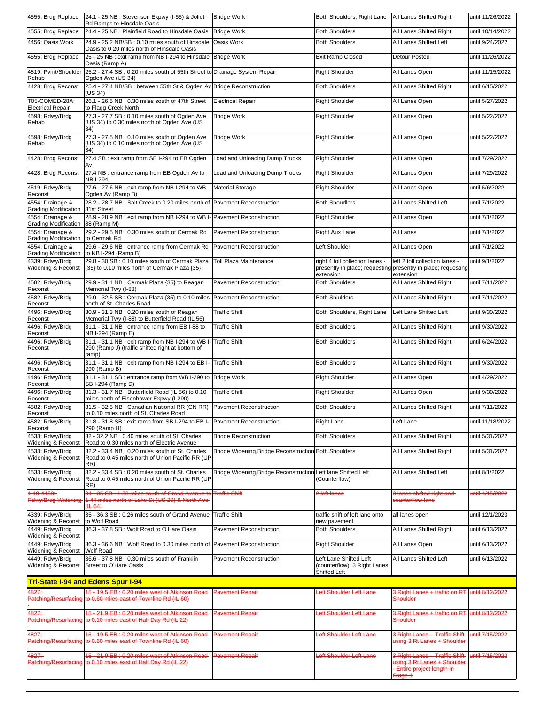| 4555: Brdg Replace                                   | 24.1 - 25 NB : Stevenson Expwy (I-55) & Joliet<br>Rd Ramps to Hinsdale Oasis                                                      | <b>Bridge Work</b>                                    | Both Shoulders, Right Lane   All Lanes Shifted Right                                                          |                                                                                                                        | until 11/26/2022 |
|------------------------------------------------------|-----------------------------------------------------------------------------------------------------------------------------------|-------------------------------------------------------|---------------------------------------------------------------------------------------------------------------|------------------------------------------------------------------------------------------------------------------------|------------------|
| 4555: Brdg Replace                                   | 24.4 - 25 NB : Plainfield Road to Hinsdale Oasis                                                                                  | <b>Bridge Work</b>                                    | <b>Both Shoulders</b>                                                                                         | All Lanes Shifted Right                                                                                                | until 10/14/2022 |
| 4456: Oasis Work                                     | 24.9 - 25.2 NB/SB: 0.10 miles south of Hinsdale<br>Oasis to 0.20 miles north of Hinsdale Oasis                                    | Oasis Work                                            | <b>Both Shoulders</b>                                                                                         | All Lanes Shifted Left                                                                                                 | until 9/24/2022  |
| 4555: Brdg Replace                                   | 25 - 25 NB : exit ramp from NB I-294 to Hinsdale Bridge Work<br>Oasis (Ramp A)                                                    |                                                       | <b>Exit Ramp Closed</b>                                                                                       | <b>Detour Posted</b>                                                                                                   | until 11/26/2022 |
| 4819: Pvmt/Shoulder<br>Rehab                         | 25.2 - 27.4 SB: 0.20 miles south of 55th Street to Drainage System Repair<br>Ogden Ave (US 34)                                    |                                                       | <b>Right Shoulder</b>                                                                                         | All Lanes Open                                                                                                         | until 11/15/2022 |
| 4428: Brdg Reconst                                   | 25.4 - 27.4 NB/SB : between 55th St & Ogden Av Bridge Reconstruction<br>(US 34)                                                   |                                                       | <b>Both Shoulders</b>                                                                                         | All Lanes Shifted Right                                                                                                | until 6/15/2022  |
| T05-COMED-28A:<br><b>Electrical Repair</b>           | 26.1 - 26.5 NB: 0.30 miles south of 47th Street<br>to Flagg Creek North                                                           | <b>Electrical Repair</b>                              | <b>Right Shoulder</b>                                                                                         | All Lanes Open                                                                                                         | until 5/27/2022  |
| 4598: Rdwy/Brdg<br>Rehab                             | 27.3 - 27.7 SB: 0.10 miles south of Ogden Ave<br>(US 34) to 0.30 miles north of Ogden Ave (US<br>34)                              | <b>Bridge Work</b>                                    | <b>Right Shoulder</b>                                                                                         | All Lanes Open                                                                                                         | until 5/22/2022  |
| 4598: Rdwy/Brdg<br>Rehab                             | 27.3 - 27.5 NB: 0.10 miles south of Ogden Ave<br>(US 34) to 0.10 miles north of Ogden Ave (US<br>34)                              | <b>Bridge Work</b>                                    | <b>Right Shoulder</b>                                                                                         | All Lanes Open                                                                                                         | until 5/22/2022  |
| 4428: Brdg Reconst                                   | 27.4 SB: exit ramp from SB I-294 to EB Ogden                                                                                      | Load and Unloading Dump Trucks                        | Right Shoulder                                                                                                | All Lanes Open                                                                                                         | until 7/29/2022  |
| 4428: Brdg Reconst                                   | 27.4 NB : entrance ramp from EB Ogden Av to<br><b>NB I-294</b>                                                                    | Load and Unloading Dump Trucks                        | <b>Right Shoulder</b>                                                                                         | All Lanes Open                                                                                                         | until 7/29/2022  |
| 4519: Rdwy/Brdg<br>Reconst                           | 27.6 - 27.6 NB : exit ramp from NB I-294 to WB<br>Ogden Av (Ramp B)                                                               | <b>Material Storage</b>                               | <b>Right Shoulder</b>                                                                                         | All Lanes Open                                                                                                         | until 5/6/2022   |
| 4554: Drainage &<br><b>Grading Modification</b>      | 28.2 - 28.7 NB : Salt Creek to 0.20 miles north of Pavement Reconstruction<br>31st Street                                         |                                                       | <b>Both Shoudlers</b>                                                                                         | All Lanes Shifted Left                                                                                                 | until 7/1/2022   |
| 4554: Drainage &<br>Grading Modification 88 (Ramp M) | 28.9 - 28.9 NB : exit ramp from NB I-294 to WB I- Pavement Reconstruction                                                         |                                                       | Right Shoulder                                                                                                | All Lanes Open                                                                                                         | until 7/1/2022   |
| 4554: Drainage &<br><b>Grading Modification</b>      | 29.2 - 29.5 NB: 0.30 miles south of Cermak Rd<br>to Cermak Rd                                                                     | <b>Pavement Reconstruction</b>                        | <b>Right Aux Lane</b>                                                                                         | All Lanes                                                                                                              | until 7/1/2022   |
| 4554: Drainage &<br><b>Grading Modification</b>      | 29.6 - 29.6 NB : entrance ramp from Cermak Rd<br>to NB I-294 (Ramp B)                                                             | <b>Pavement Reconstruction</b>                        | Left Shoulder                                                                                                 | All Lanes Open                                                                                                         | until 7/1/2022   |
| 4339: Rdwy/Brda<br>Widening & Reconst                | 29.8 - 30 SB : 0.10 miles south of Cermak Plaza<br>{35} to 0.10 miles north of Cermak Plaza {35}                                  | <b>Toll Plaza Maintenance</b>                         | right 4 toll collection lanes -<br>presently in place; requesting presently in place; requesting<br>extension | left 2 toll collection lanes -<br>extension                                                                            | until 9/1/2022   |
| 4582: Rdwy/Brdg<br>Reconst                           | 29.9 - 31.1 NB : Cermak Plaza {35} to Reagan<br>Memorial Twy (I-88)                                                               | <b>Pavement Reconstruction</b>                        | <b>Both Shoulders</b>                                                                                         | All Lanes Shifted Right                                                                                                | until 7/11/2022  |
| 4582: Rdwy/Brdg<br>Reconst                           | 29.9 - 32.5 SB : Cermak Plaza {35} to 0.10 miles Pavement Reconstruction<br>north of St. Charles Road                             |                                                       | <b>Both Shiulders</b>                                                                                         | All Lanes Shifted Right                                                                                                | until 7/11/2022  |
| 4496: Rdwy/Brdg<br>Reconst                           | 30.9 - 31.3 NB: 0.20 miles south of Reagan<br>Memorial Twy (I-88) to Butterfield Road (IL 56)                                     | <b>Traffic Shift</b>                                  | Both Shoulders, Right Lane                                                                                    | Left Lane Shifted Left                                                                                                 | until 9/30/2022  |
| 4496: Rdwy/Brdg<br>Reconst                           | 31.1 - 31.1 NB : entrance ramp from EB I-88 to<br>NB I-294 (Ramp E)                                                               | <b>Traffic Shift</b>                                  | <b>Both Shoulders</b>                                                                                         | All Lanes Shifted Right                                                                                                | until 9/30/2022  |
| 4496: Rdwy/Brdg<br>Reconst                           | 31.1 - 31.1 NB : exit ramp from NB I-294 to WB I-<br>290 (Ramp J) (traffic shifted right at bottom of<br>ramp)                    | <b>Traffic Shift</b>                                  | <b>Both Shoulders</b>                                                                                         | All Lanes Shifted Right                                                                                                | until 6/24/2022  |
| 4496: Rdwy/Brdg<br>Reconst                           | 31.1 - 31.1 NB : exit ramp from NB I-294 to EB I-<br>290 (Ramp B)                                                                 | <b>Traffic Shift</b>                                  | <b>Both Shoulders</b>                                                                                         | All Lanes Shifted Right                                                                                                | until 9/30/2022  |
| 4496: Rdwy/Brdg<br>Reconst                           | 31.1 - 31.1 SB : entrance ramp from WB I-290 to Bridge Work<br>SB I-294 (Ramp D)                                                  |                                                       | <b>Right Shoulder</b>                                                                                         | All Lanes Open                                                                                                         | until 4/29/2022  |
| 4496: Rdwy/Brdg<br>Reconst                           | 31.3 - 31.7 NB : Butterfield Road (IL 56) to 0.10<br>miles north of Eisenhower Expwy (I-290)                                      | <b>Traffic Shift</b>                                  | <b>Right Shoulder</b>                                                                                         | All Lanes Open                                                                                                         | until 9/30/2022  |
| 4582: Rdwy/Brdg<br>Reconst                           | 31.5 - 32.5 NB : Canadian National RR (CN RR) Pavement Reconstruction<br>to 0.10 miles north of St. Charles Road                  |                                                       | <b>Both Shoulders</b>                                                                                         | All Lanes Shifted Right                                                                                                | until 7/11/2022  |
| 4582: Rdwy/Brdg<br>Reconst                           | 31.8 - 31.8 SB : exit ramp from SB I-294 to EB I-<br>290 (Ramp H)                                                                 | <b>Pavement Reconstruction</b>                        | <b>Right Lane</b>                                                                                             | Left Lane                                                                                                              | until 11/18/2022 |
| 4533: Rdwy/Brdg<br>Widening & Reconst                | 32 - 32.2 NB : 0.40 miles south of St. Charles<br>Road to 0.30 miles north of Electric Avenue                                     | <b>Bridge Reconstruction</b>                          | <b>Both Shoulders</b>                                                                                         | All Lanes Shifted Right                                                                                                | until 5/31/2022  |
| 4533: Rdwy/Brdg<br>Widening & Reconst                | 32.2 - 33.4 NB: 0.20 miles south of St. Charles<br>Road to 0.45 miles north of Union Pacific RR (UP<br>RR)                        | Bridge Widening, Bridge Reconstruction Both Shoulders |                                                                                                               | All Lanes Shifted Right                                                                                                | until 5/31/2022  |
| 4533: Rdwy/Brdg<br>Widening & Reconst                | 32.2 - 33.4 SB: 0.20 miles south of St. Charles<br>Road to 0.45 miles north of Union Pacific RR (UP<br>RR)                        | Bridge Widening, Bridge Reconstruction                | Left lane Shifted Left<br>(Counterflow)                                                                       | All Lanes Shifted Left                                                                                                 | until 8/1/2022   |
| 1-19-4458:                                           | 34 - 35 SB : 1.33 miles south of Grand Avenue to<br>Rdwy/Brdg Widening 1.44 miles north of Lake St (US 20) & North Ave<br>(1L 64) | <b>Traffic Shift</b>                                  | 2 left lanes                                                                                                  | 3 lanes shifted right and<br>sounterflow lane                                                                          | mtil 4/15/2022   |
| 4339: Rdwy/Brdg<br>Widening & Reconst                | 35 - 36.3 SB: 0.26 miles south of Grand Avenue<br>to Wolf Road                                                                    | <b>Traffic Shift</b>                                  | traffic shift of left lane onto<br>new pavement                                                               | all lanes open                                                                                                         | until 12/1/2023  |
| 4449: Rdwy/Brdg<br>Widening & Reconst                | 36.3 - 37.8 SB: Wolf Road to O'Hare Oasis                                                                                         | <b>Pavement Reconstruction</b>                        | <b>Both Shoulders</b>                                                                                         | All Lanes Shifted Right                                                                                                | until 6/13/2022  |
| 4449: Rdwy/Brdg<br>Widening & Reconst                | 36.3 - 36.6 NB: Wolf Road to 0.30 miles north of Pavement Reconstruction<br><b>Wolf Road</b>                                      |                                                       | <b>Right Shoulder</b>                                                                                         | All Lanes Open                                                                                                         | until 6/13/2022  |
| 4449: Rdwy/Brdg<br>Widening & Reconst                | 36.6 - 37.8 NB : 0.30 miles south of Franklin<br>Street to O'Hare Oasis                                                           | Pavement Reconstruction                               | Left Lane Shifted Left<br>(counterflow); 3 Right Lanes<br>Shifted Left                                        | All Lanes Shifted Left                                                                                                 | until 6/13/2022  |
|                                                      | <b>Tri-State I-94 and Edens Spur I-94</b>                                                                                         |                                                       |                                                                                                               |                                                                                                                        |                  |
| 4827:                                                | 15 - 19.5 EB : 0.20 miles west of Atkinson Road<br>Patching/Resurfacing to 0.60 miles east of Townline Rd (IL 60)                 | Pavement Repair                                       | eft Shoulder Left Lane                                                                                        | <b>B</b> Right Lanes + traffic on RT<br>Shoulder                                                                       | until 8/12/2022  |
| 4827:                                                | 15 - 21.9 EB: 0.20 miles west of Atkinson Road<br>Patching/Resurfacing to 0.10 miles east of Half Day Rd (IL 22)                  | Pavement Repair                                       | eft Shoulder Left Lane                                                                                        | 3 Right Lanes + traffic on RT<br><b>Shoulder</b>                                                                       | until 8/12/2022  |
| 4827:                                                | 15 - 19.5 EB: 0.20 miles west of Atkinson Road<br>Patching/Resurfacing to 0.60 miles east of Townline Rd (IL 60)                  | Pavement Repair                                       | eft Shoulder Left Lane                                                                                        | 3 Right Lanes - Traffic Shift<br>using 3 Rt Lanes + Shoulder                                                           | mtil 7/15/2022   |
| 4827:                                                | 15 - 21.9 EB: 0.20 miles west of Atkinson Road<br>Patching/Resurfacing to 0.10 miles east of Half Day Rd (IL 22)                  | <b>Pavement Repair</b>                                | eft Shoulder Left Lane                                                                                        | <b>3 Right Lanes - Traffic Shift</b><br>ising 3 Rt Lanes + Shoulder<br>Entire project length in-<br><del>Stage 1</del> | until 7/15/2022  |